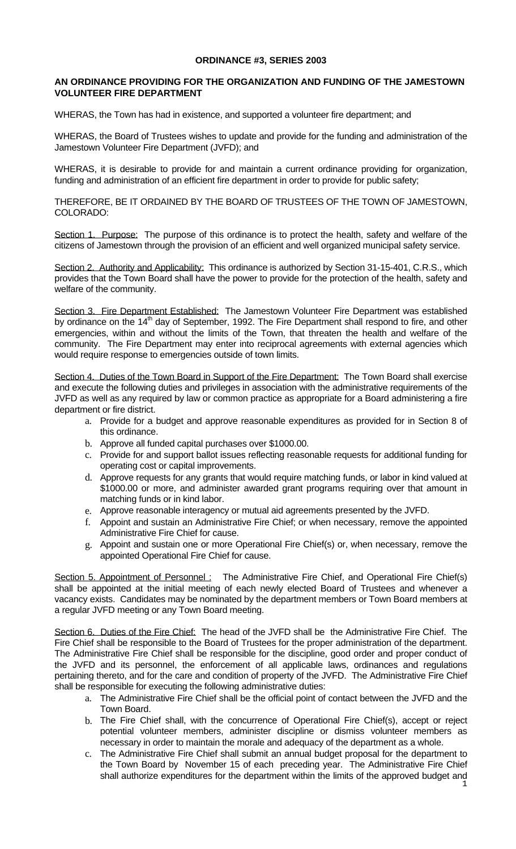## **ORDINANCE #3, SERIES 2003**

## **AN ORDINANCE PROVIDING FOR THE ORGANIZATION AND FUNDING OF THE JAMESTOWN VOLUNTEER FIRE DEPARTMENT**

WHERAS, the Town has had in existence, and supported a volunteer fire department; and

WHERAS, the Board of Trustees wishes to update and provide for the funding and administration of the Jamestown Volunteer Fire Department (JVFD); and

WHERAS, it is desirable to provide for and maintain a current ordinance providing for organization, funding and administration of an efficient fire department in order to provide for public safety;

THEREFORE, BE IT ORDAINED BY THE BOARD OF TRUSTEES OF THE TOWN OF JAMESTOWN, COLORADO:

Section 1. Purpose: The purpose of this ordinance is to protect the health, safety and welfare of the citizens of Jamestown through the provision of an efficient and well organized municipal safety service.

Section 2. Authority and Applicability: This ordinance is authorized by Section 31-15-401, C.R.S., which provides that the Town Board shall have the power to provide for the protection of the health, safety and welfare of the community.

Section 3. Fire Department Established: The Jamestown Volunteer Fire Department was established by ordinance on the 14<sup>th</sup> day of September, 1992. The Fire Department shall respond to fire, and other emergencies, within and without the limits of the Town, that threaten the health and welfare of the community. The Fire Department may enter into reciprocal agreements with external agencies which would require response to emergencies outside of town limits.

Section 4. Duties of the Town Board in Support of the Fire Department: The Town Board shall exercise and execute the following duties and privileges in association with the administrative requirements of the JVFD as well as any required by law or common practice as appropriate for a Board administering a fire department or fire district.

- a. Provide for a budget and approve reasonable expenditures as provided for in Section 8 of this ordinance.
- b. Approve all funded capital purchases over \$1000.00.
- c. Provide for and support ballot issues reflecting reasonable requests for additional funding for operating cost or capital improvements.
- d. Approve requests for any grants that would require matching funds, or labor in kind valued at \$1000.00 or more, and administer awarded grant programs requiring over that amount in matching funds or in kind labor.
- e. Approve reasonable interagency or mutual aid agreements presented by the JVFD.
- f. Appoint and sustain an Administrative Fire Chief; or when necessary, remove the appointed Administrative Fire Chief for cause.
- g. Appoint and sustain one or more Operational Fire Chief(s) or, when necessary, remove the appointed Operational Fire Chief for cause.

Section 5. Appointment of Personnel : The Administrative Fire Chief, and Operational Fire Chief(s) shall be appointed at the initial meeting of each newly elected Board of Trustees and whenever a vacancy exists. Candidates may be nominated by the department members or Town Board members at a regular JVFD meeting or any Town Board meeting.

Section 6. Duties of the Fire Chief: The head of the JVFD shall be the Administrative Fire Chief. The Fire Chief shall be responsible to the Board of Trustees for the proper administration of the department. The Administrative Fire Chief shall be responsible for the discipline, good order and proper conduct of the JVFD and its personnel, the enforcement of all applicable laws, ordinances and regulations pertaining thereto, and for the care and condition of property of the JVFD. The Administrative Fire Chief shall be responsible for executing the following administrative duties:

- a. The Administrative Fire Chief shall be the official point of contact between the JVFD and the Town Board.
- b. The Fire Chief shall, with the concurrence of Operational Fire Chief(s), accept or reject potential volunteer members, administer discipline or dismiss volunteer members as necessary in order to maintain the morale and adequacy of the department as a whole.
- c. The Administrative Fire Chief shall submit an annual budget proposal for the department to the Town Board by November 15 of each preceding year. The Administrative Fire Chief shall authorize expenditures for the department within the limits of the approved budget and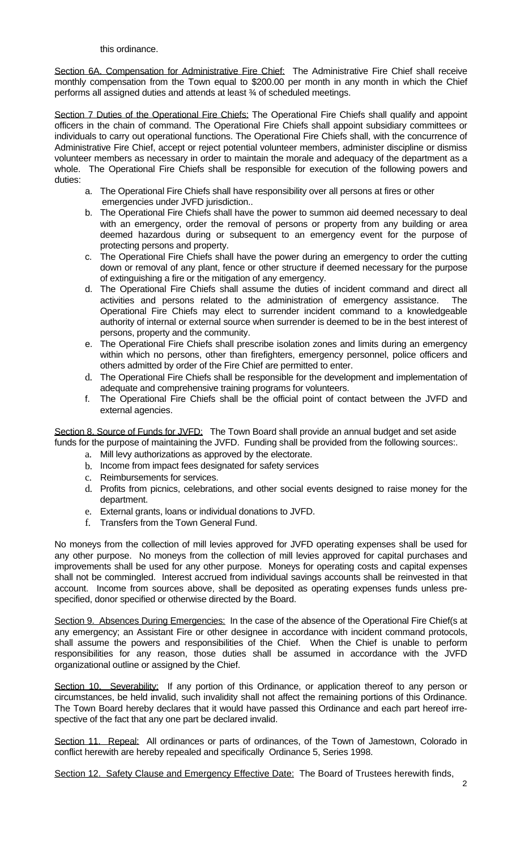## this ordinance.

Section 6A. Compensation for Administrative Fire Chief: The Administrative Fire Chief shall receive monthly compensation from the Town equal to \$200.00 per month in any month in which the Chief performs all assigned duties and attends at least ¾ of scheduled meetings.

Section 7 Duties of the Operational Fire Chiefs: The Operational Fire Chiefs shall qualify and appoint officers in the chain of command. The Operational Fire Chiefs shall appoint subsidiary committees or individuals to carry out operational functions. The Operational Fire Chiefs shall, with the concurrence of Administrative Fire Chief, accept or reject potential volunteer members, administer discipline or dismiss volunteer members as necessary in order to maintain the morale and adequacy of the department as a whole. The Operational Fire Chiefs shall be responsible for execution of the following powers and duties:

- a. The Operational Fire Chiefs shall have responsibility over all persons at fires or other emergencies under JVFD jurisdiction..
- b. The Operational Fire Chiefs shall have the power to summon aid deemed necessary to deal with an emergency, order the removal of persons or property from any building or area deemed hazardous during or subsequent to an emergency event for the purpose of protecting persons and property.
- c. The Operational Fire Chiefs shall have the power during an emergency to order the cutting down or removal of any plant, fence or other structure if deemed necessary for the purpose of extinguishing a fire or the mitigation of any emergency.
- d. The Operational Fire Chiefs shall assume the duties of incident command and direct all activities and persons related to the administration of emergency assistance. The Operational Fire Chiefs may elect to surrender incident command to a knowledgeable authority of internal or external source when surrender is deemed to be in the best interest of persons, property and the community.
- e. The Operational Fire Chiefs shall prescribe isolation zones and limits during an emergency within which no persons, other than firefighters, emergency personnel, police officers and others admitted by order of the Fire Chief are permitted to enter.
- d. The Operational Fire Chiefs shall be responsible for the development and implementation of adequate and comprehensive training programs for volunteers.
- f. The Operational Fire Chiefs shall be the official point of contact between the JVFD and external agencies.

Section 8. Source of Funds for JVFD: The Town Board shall provide an annual budget and set aside funds for the purpose of maintaining the JVFD. Funding shall be provided from the following sources:.

- a. Mill levy authorizations as approved by the electorate.
- b. Income from impact fees designated for safety services
- c. Reimbursements for services.
- d. Profits from picnics, celebrations, and other social events designed to raise money for the department.
- e. External grants, loans or individual donations to JVFD.
- f. Transfers from the Town General Fund.

No moneys from the collection of mill levies approved for JVFD operating expenses shall be used for any other purpose. No moneys from the collection of mill levies approved for capital purchases and improvements shall be used for any other purpose. Moneys for operating costs and capital expenses shall not be commingled. Interest accrued from individual savings accounts shall be reinvested in that account. Income from sources above, shall be deposited as operating expenses funds unless prespecified, donor specified or otherwise directed by the Board.

Section 9. Absences During Emergencies: In the case of the absence of the Operational Fire Chief(s at any emergency; an Assistant Fire or other designee in accordance with incident command protocols, shall assume the powers and responsibilities of the Chief. When the Chief is unable to perform responsibilities for any reason, those duties shall be assumed in accordance with the JVFD organizational outline or assigned by the Chief.

Section 10. Severability: If any portion of this Ordinance, or application thereof to any person or circumstances, be held invalid, such invalidity shall not affect the remaining portions of this Ordinance. The Town Board hereby declares that it would have passed this Ordinance and each part hereof irrespective of the fact that any one part be declared invalid.

Section 11. Repeal: All ordinances or parts of ordinances, of the Town of Jamestown, Colorado in conflict herewith are hereby repealed and specifically Ordinance 5, Series 1998.

Section 12. Safety Clause and Emergency Effective Date: The Board of Trustees herewith finds,